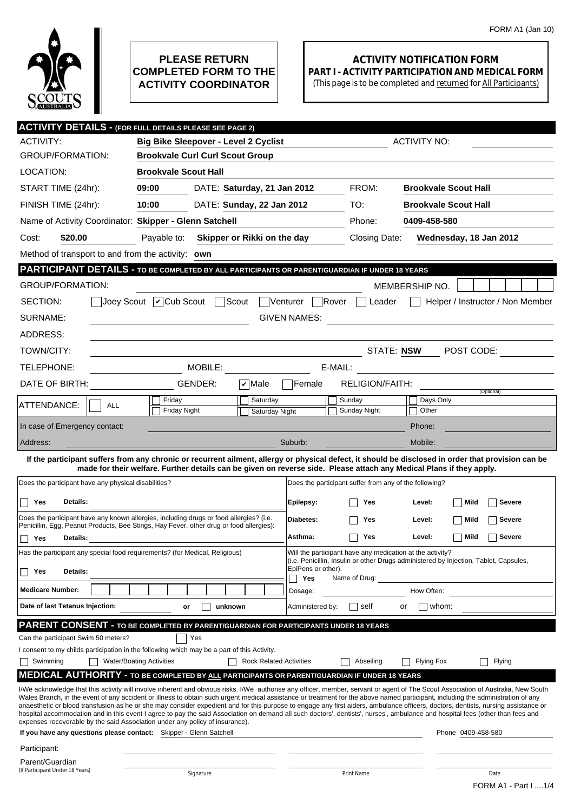

## **PLEASE RETURN COMPLETED FORM TO THE ACTIVITY COORDINATOR**

## **ACTIVITY NOTIFICATION FORM PART I - ACTIVITY PARTICIPATION AND MEDICAL FORM**

(This page is to be completed and returned for All Participants)

| <b>ACTIVITY DETAILS - (FOR FULL DETAILS PLEASE SEE PAGE 2)</b>                                                                                                                                                                         |                                                                                         |                                |                  |                                                                                                             |                                                                                                                                                                                                                                                                                                                                                                                                                                                                                                                                                                                                                                                                                                                                                |  |  |  |
|----------------------------------------------------------------------------------------------------------------------------------------------------------------------------------------------------------------------------------------|-----------------------------------------------------------------------------------------|--------------------------------|------------------|-------------------------------------------------------------------------------------------------------------|------------------------------------------------------------------------------------------------------------------------------------------------------------------------------------------------------------------------------------------------------------------------------------------------------------------------------------------------------------------------------------------------------------------------------------------------------------------------------------------------------------------------------------------------------------------------------------------------------------------------------------------------------------------------------------------------------------------------------------------------|--|--|--|
| <b>ACTIVITY:</b>                                                                                                                                                                                                                       | <b>Big Bike Sleepover - Level 2 Cyclist</b>                                             |                                |                  |                                                                                                             | <b>ACTIVITY NO:</b>                                                                                                                                                                                                                                                                                                                                                                                                                                                                                                                                                                                                                                                                                                                            |  |  |  |
| <b>GROUP/FORMATION:</b>                                                                                                                                                                                                                | <b>Brookvale Curl Curl Scout Group</b>                                                  |                                |                  |                                                                                                             |                                                                                                                                                                                                                                                                                                                                                                                                                                                                                                                                                                                                                                                                                                                                                |  |  |  |
| LOCATION:                                                                                                                                                                                                                              | <b>Brookvale Scout Hall</b>                                                             |                                |                  |                                                                                                             |                                                                                                                                                                                                                                                                                                                                                                                                                                                                                                                                                                                                                                                                                                                                                |  |  |  |
| START TIME (24hr):                                                                                                                                                                                                                     | 09:00                                                                                   | DATE: Saturday, 21 Jan 2012    |                  | FROM:                                                                                                       | <b>Brookvale Scout Hall</b>                                                                                                                                                                                                                                                                                                                                                                                                                                                                                                                                                                                                                                                                                                                    |  |  |  |
| FINISH TIME (24hr):                                                                                                                                                                                                                    | 10:00<br>DATE: Sunday, 22 Jan 2012                                                      |                                | TO:              | <b>Brookvale Scout Hall</b>                                                                                 |                                                                                                                                                                                                                                                                                                                                                                                                                                                                                                                                                                                                                                                                                                                                                |  |  |  |
| Name of Activity Coordinator: Skipper - Glenn Satchell                                                                                                                                                                                 |                                                                                         |                                | Phone:           | 0409-458-580                                                                                                |                                                                                                                                                                                                                                                                                                                                                                                                                                                                                                                                                                                                                                                                                                                                                |  |  |  |
| Cost:<br>\$20.00                                                                                                                                                                                                                       | Payable to:<br>Skipper or Rikki on the day                                              |                                |                  | Closing Date:                                                                                               | Wednesday, 18 Jan 2012                                                                                                                                                                                                                                                                                                                                                                                                                                                                                                                                                                                                                                                                                                                         |  |  |  |
| Method of transport to and from the activity: own                                                                                                                                                                                      |                                                                                         |                                |                  |                                                                                                             |                                                                                                                                                                                                                                                                                                                                                                                                                                                                                                                                                                                                                                                                                                                                                |  |  |  |
| PARTICIPANT DETAILS - TO BE COMPLETED BY ALL PARTICIPANTS OR PARENT/GUARDIAN IF UNDER 18 YEARS                                                                                                                                         |                                                                                         |                                |                  |                                                                                                             |                                                                                                                                                                                                                                                                                                                                                                                                                                                                                                                                                                                                                                                                                                                                                |  |  |  |
| <b>GROUP/FORMATION:</b>                                                                                                                                                                                                                |                                                                                         |                                |                  |                                                                                                             | MEMBERSHIP NO.                                                                                                                                                                                                                                                                                                                                                                                                                                                                                                                                                                                                                                                                                                                                 |  |  |  |
| $\vert$ Joey Scout $\vert \mathcal{V} \vert$ Cub Scout $\vert$<br>Scout<br>$\Box$ Rover<br>SECTION:<br>Venturer<br>Helper / Instructor / Non Member<br>Leader                                                                          |                                                                                         |                                |                  |                                                                                                             |                                                                                                                                                                                                                                                                                                                                                                                                                                                                                                                                                                                                                                                                                                                                                |  |  |  |
| SURNAME:<br><b>GIVEN NAMES:</b><br><u>and the state of the state of the state of the state of the state of the state of the state of the state of th</u>                                                                               |                                                                                         |                                |                  |                                                                                                             |                                                                                                                                                                                                                                                                                                                                                                                                                                                                                                                                                                                                                                                                                                                                                |  |  |  |
| ADDRESS:                                                                                                                                                                                                                               |                                                                                         |                                |                  |                                                                                                             |                                                                                                                                                                                                                                                                                                                                                                                                                                                                                                                                                                                                                                                                                                                                                |  |  |  |
| TOWN/CITY:                                                                                                                                                                                                                             |                                                                                         |                                |                  | STATE: NSW                                                                                                  | POST CODE:                                                                                                                                                                                                                                                                                                                                                                                                                                                                                                                                                                                                                                                                                                                                     |  |  |  |
| TELEPHONE:                                                                                                                                                                                                                             | MOBILE:<br>E-MAIL:<br><u> 1989 - John Stein, Amerikaansk kanton (</u>                   |                                |                  |                                                                                                             |                                                                                                                                                                                                                                                                                                                                                                                                                                                                                                                                                                                                                                                                                                                                                |  |  |  |
| DATE OF BIRTH:                                                                                                                                                                                                                         | GENDER:                                                                                 | $ \boldsymbol{v} $ Male        | Female           | <b>RELIGION/FAITH:</b>                                                                                      |                                                                                                                                                                                                                                                                                                                                                                                                                                                                                                                                                                                                                                                                                                                                                |  |  |  |
|                                                                                                                                                                                                                                        | Friday                                                                                  | Saturday                       |                  | Sunday                                                                                                      | (Optional)<br>Days Only                                                                                                                                                                                                                                                                                                                                                                                                                                                                                                                                                                                                                                                                                                                        |  |  |  |
| ATTENDANCE:<br><b>ALL</b>                                                                                                                                                                                                              | <b>Friday Night</b>                                                                     | Saturday Night                 |                  | Sunday Night                                                                                                | Other                                                                                                                                                                                                                                                                                                                                                                                                                                                                                                                                                                                                                                                                                                                                          |  |  |  |
| In case of Emergency contact:                                                                                                                                                                                                          |                                                                                         |                                |                  |                                                                                                             | Phone:                                                                                                                                                                                                                                                                                                                                                                                                                                                                                                                                                                                                                                                                                                                                         |  |  |  |
| Address:                                                                                                                                                                                                                               |                                                                                         |                                | Suburb:          |                                                                                                             | Mobile:                                                                                                                                                                                                                                                                                                                                                                                                                                                                                                                                                                                                                                                                                                                                        |  |  |  |
|                                                                                                                                                                                                                                        |                                                                                         |                                |                  |                                                                                                             | If the participant suffers from any chronic or recurrent ailment, allergy or physical defect, it should be disclosed in order that provision can be                                                                                                                                                                                                                                                                                                                                                                                                                                                                                                                                                                                            |  |  |  |
| made for their welfare. Further details can be given on reverse side. Please attach any Medical Plans if they apply.<br>Does the participant have any physical disabilities?<br>Does the participant suffer from any of the following? |                                                                                         |                                |                  |                                                                                                             |                                                                                                                                                                                                                                                                                                                                                                                                                                                                                                                                                                                                                                                                                                                                                |  |  |  |
| Details:<br>Yes                                                                                                                                                                                                                        |                                                                                         |                                | Epilepsy:        | Yes                                                                                                         | Mild<br>Level:<br>Severe                                                                                                                                                                                                                                                                                                                                                                                                                                                                                                                                                                                                                                                                                                                       |  |  |  |
|                                                                                                                                                                                                                                        | Does the participant have any known allergies, including drugs or food allergies? (i.e. |                                |                  | Yes                                                                                                         | Mild<br><b>Severe</b><br>Level:                                                                                                                                                                                                                                                                                                                                                                                                                                                                                                                                                                                                                                                                                                                |  |  |  |
| Penicillin, Egg, Peanut Products, Bee Stings, Hay Fever, other drug or food allergies):                                                                                                                                                |                                                                                         |                                |                  | Yes                                                                                                         | Mild<br><b>Severe</b><br>Level:                                                                                                                                                                                                                                                                                                                                                                                                                                                                                                                                                                                                                                                                                                                |  |  |  |
| Details:<br>□ Yes<br>Has the participant any special food requirements? (for Medical, Religious)                                                                                                                                       |                                                                                         |                                |                  | Asthma:<br>Will the participant have any medication at the activity?                                        |                                                                                                                                                                                                                                                                                                                                                                                                                                                                                                                                                                                                                                                                                                                                                |  |  |  |
|                                                                                                                                                                                                                                        |                                                                                         |                                |                  | (i.e. Penicillin, Insulin or other Drugs administered by Injection, Tablet, Capsules,<br>EpiPens or other). |                                                                                                                                                                                                                                                                                                                                                                                                                                                                                                                                                                                                                                                                                                                                                |  |  |  |
| Details:<br>Yes                                                                                                                                                                                                                        |                                                                                         |                                | Yes              | Name of Drug:                                                                                               |                                                                                                                                                                                                                                                                                                                                                                                                                                                                                                                                                                                                                                                                                                                                                |  |  |  |
| <b>Medicare Number:</b>                                                                                                                                                                                                                |                                                                                         |                                | Dosage:          |                                                                                                             | How Often:                                                                                                                                                                                                                                                                                                                                                                                                                                                                                                                                                                                                                                                                                                                                     |  |  |  |
| Date of last Tetanus Injection:                                                                                                                                                                                                        | or                                                                                      | unknown                        | Administered by: | self                                                                                                        | whom:<br>or                                                                                                                                                                                                                                                                                                                                                                                                                                                                                                                                                                                                                                                                                                                                    |  |  |  |
| PARENT CONSENT - TO BE COMPLETED BY PARENT/GUARDIAN FOR PARTICIPANTS UNDER 18 YEARS                                                                                                                                                    |                                                                                         |                                |                  |                                                                                                             |                                                                                                                                                                                                                                                                                                                                                                                                                                                                                                                                                                                                                                                                                                                                                |  |  |  |
| Can the participant Swim 50 meters?                                                                                                                                                                                                    | Yes                                                                                     |                                |                  |                                                                                                             |                                                                                                                                                                                                                                                                                                                                                                                                                                                                                                                                                                                                                                                                                                                                                |  |  |  |
| I consent to my childs participation in the following which may be a part of this Activity.                                                                                                                                            |                                                                                         |                                |                  |                                                                                                             |                                                                                                                                                                                                                                                                                                                                                                                                                                                                                                                                                                                                                                                                                                                                                |  |  |  |
| Swimming                                                                                                                                                                                                                               | <b>Water/Boating Activities</b>                                                         | <b>Rock Related Activities</b> |                  | Abseiling                                                                                                   | Flying<br><b>Flying Fox</b>                                                                                                                                                                                                                                                                                                                                                                                                                                                                                                                                                                                                                                                                                                                    |  |  |  |
| <b>MEDICAL AUTHORITY - TO BE COMPLETED BY ALL PARTICIPANTS OR PARENT/GUARDIAN IF UNDER 18 YEARS</b><br>expenses recoverable by the said Association under any policy of insurance).                                                    |                                                                                         |                                |                  |                                                                                                             | I/We acknowledge that this activity will involve inherent and obvious risks. I/We authorise any officer, member, servant or agent of The Scout Association of Australia, New South<br>Wales Branch, in the event of any accident or illness to obtain such urgent medical assistance or treatment for the above named participant, including the administration of any<br>anaesthetic or blood transfusion as he or she may consider expedient and for this purpose to engage any first aiders, ambulance officers, doctors, dentists, nursing assistance or<br>hospital accommodation and in this event I agree to pay the said Association on demand all such doctors', dentists', nurses', ambulance and hospital fees (other than fees and |  |  |  |
| If you have any questions please contact: Skipper - Glenn Satchell                                                                                                                                                                     |                                                                                         |                                |                  |                                                                                                             | Phone 0409-458-580                                                                                                                                                                                                                                                                                                                                                                                                                                                                                                                                                                                                                                                                                                                             |  |  |  |
| Participant:                                                                                                                                                                                                                           |                                                                                         |                                |                  |                                                                                                             |                                                                                                                                                                                                                                                                                                                                                                                                                                                                                                                                                                                                                                                                                                                                                |  |  |  |
| Parent/Guardian<br>(If Participant Under 18 Years)                                                                                                                                                                                     | Signature                                                                               |                                |                  | Print Name                                                                                                  | Date                                                                                                                                                                                                                                                                                                                                                                                                                                                                                                                                                                                                                                                                                                                                           |  |  |  |
|                                                                                                                                                                                                                                        |                                                                                         |                                |                  |                                                                                                             | FORM A1 - Part I 1/4                                                                                                                                                                                                                                                                                                                                                                                                                                                                                                                                                                                                                                                                                                                           |  |  |  |